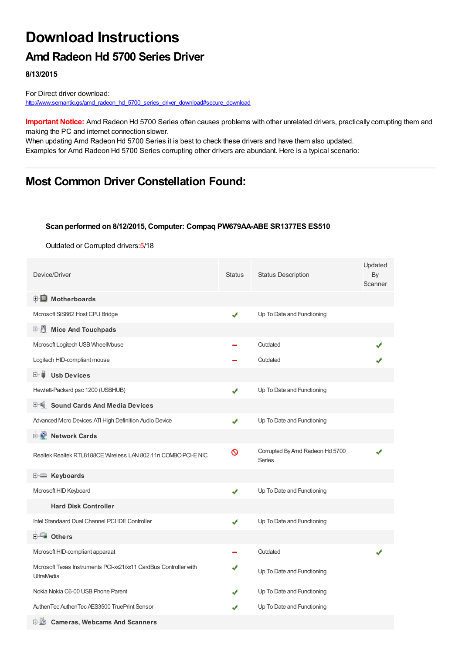# **Download Instructions**

## **Amd Radeon Hd 5700 Series Driver**

**8/13/2015**

For Direct driver download: [http://www.semantic.gs/amd\\_radeon\\_hd\\_5700\\_series\\_driver\\_download#secure\\_download](http://www.semantic.gs/amd_radeon_hd_5700_series_driver_download#secure_download)

**Important Notice:** Amd Radeon Hd 5700 Series often causes problems with other unrelated drivers, practically corrupting them and making the PC and internet connection slower.

When updating Amd Radeon Hd 5700 Series it is best to check these drivers and have them also updated. Examples for Amd Radeon Hd 5700 Series corrupting other drivers are abundant. Here is a typical scenario:

## **Most Common Driver Constellation Found:**

#### **Scan performed on 8/12/2015, Computer: Compaq PW679AA-ABE SR1377ES ES510**

Outdated or Corrupted drivers:5/18

| Device/Driver                                                                          | <b>Status</b> | <b>Status Description</b>                        | Updated<br>By<br>Scanner |
|----------------------------------------------------------------------------------------|---------------|--------------------------------------------------|--------------------------|
| <b>E</b> Motherboards                                                                  |               |                                                  |                          |
| Mcrosoft SiS662 Host CPU Bridge                                                        | ✔             | Up To Date and Functioning                       |                          |
| <b>E</b> Mice And Touchpads                                                            |               |                                                  |                          |
| Mcrosoft Logitech USB WheelMouse                                                       |               | Outdated                                         |                          |
| Logitech HID-compliant mouse                                                           |               | Outdated                                         |                          |
| <b>Usb Devices</b><br>⊞… ■                                                             |               |                                                  |                          |
| Hewlett-Packard psc 1200 (USBHUB)                                                      | ✔             | Up To Date and Functioning                       |                          |
| <b>Sound Cards And Media Devices</b>                                                   |               |                                                  |                          |
| Advanced Micro Devices ATI High Definition Audio Device                                | ✔             | Up To Date and Functioning                       |                          |
| <b>D</b> Network Cards                                                                 |               |                                                  |                          |
| Realtek Realtek RTL8188CE Wireless LAN 802.11n COMBO PCI-E NIC                         | Ø             | Corrupted By Amd Radeon Hd 5700<br><b>Series</b> |                          |
| <b>i</b> Keyboards                                                                     |               |                                                  |                          |
| Microsoft HID Keyboard                                                                 | ✔             | Up To Date and Functioning                       |                          |
| <b>Hard Disk Controller</b>                                                            |               |                                                  |                          |
| Intel Standaard Dual Channel PCI IDE Controller                                        | ✔             | Up To Date and Functioning                       |                          |
| 白一■ Others                                                                             |               |                                                  |                          |
| Mcrosoft HID-compliant apparaat                                                        |               | Outdated                                         |                          |
| Microsoft Texas Instruments PCI-xx21/xx11 CardBus Controller with<br><b>UltraMedia</b> |               | Up To Date and Functioning                       |                          |
| Nokia Nokia C6-00 USB Phone Parent                                                     |               | Up To Date and Functioning                       |                          |
| AuthenTec AuthenTec AES3500 TruePrint Sensor                                           |               | Up To Date and Functioning                       |                          |
| in Mo<br><b>Cameras, Webcams And Scanners</b>                                          |               |                                                  |                          |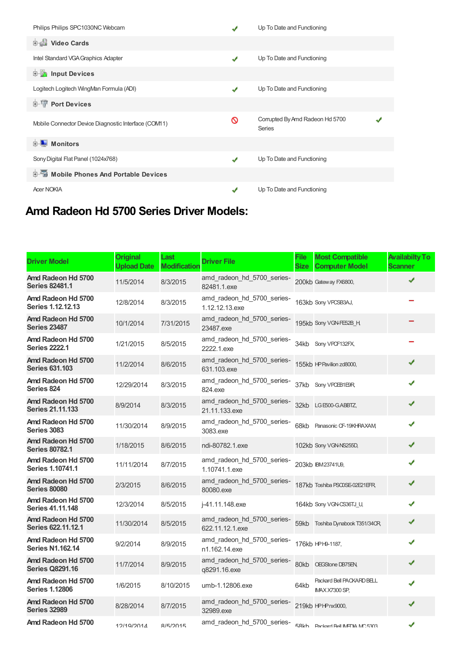| Philips Philips SPC1030NC Webcam                     |                  | Up To Date and Functioning                       |  |
|------------------------------------------------------|------------------|--------------------------------------------------|--|
| Video Cards                                          |                  |                                                  |  |
| Intel Standard VGA Graphics Adapter                  | ✔                | Up To Date and Functioning                       |  |
| <b>E</b> Input Devices                               |                  |                                                  |  |
| Logitech Logitech WingMan Formula (ADI)              | ✔                | Up To Date and Functioning                       |  |
| <b>E-TP</b> Port Devices                             |                  |                                                  |  |
| Mobile Connector Device Diagnostic Interface (COM11) | ⊚                | Corrupted By Amd Radeon Hd 5700<br><b>Series</b> |  |
| 由 - 1<br>Monitors                                    |                  |                                                  |  |
| Sony Digital Flat Panel (1024x768)                   | $\boldsymbol{v}$ | Up To Date and Functioning                       |  |
| 电图 Mobile Phones And Portable Devices                |                  |                                                  |  |
| <b>Acer NOKIA</b>                                    | ✔                | Up To Date and Functioning                       |  |

## **Amd Radeon Hd 5700 Series Driver Models:**

| <b>Driver Model</b>                           | <b>Original</b><br><b>Upload Date</b> | Last<br><b>Modification</b> | <b>Driver File</b>                            | <b>File</b><br><b>Size</b> | <b>Most Compatible</b><br><b>Computer Model</b>    | <b>Availabilty To</b><br>Scanner |
|-----------------------------------------------|---------------------------------------|-----------------------------|-----------------------------------------------|----------------------------|----------------------------------------------------|----------------------------------|
| Amd Radeon Hd 5700<br><b>Series 82481.1</b>   | 11/5/2014                             | 8/3/2015                    | amd_radeon_hd_5700_series-<br>82481.1.exe     |                            | 200kb Gateway FX6800,                              | ✔                                |
| Amd Radeon Hd 5700<br>Series 1.12.12.13       | 12/8/2014                             | 8/3/2015                    | amd_radeon_hd_5700_series-<br>1.12.12.13.exe  |                            | 163kb Sony VPCSB3AJ,                               |                                  |
| Amd Radeon Hd 5700<br><b>Series 23487</b>     | 10/1/2014                             | 7/31/2015                   | amd_radeon_hd_5700_series-<br>23487.exe       |                            | 195kb Sony VGN-FE52B H                             |                                  |
| Amd Radeon Hd 5700<br><b>Series 2222.1</b>    | 1/21/2015                             | 8/5/2015                    | amd_radeon_hd_5700_series-<br>2222.1.exe      | 34kb                       | Sony VPCF132FX                                     |                                  |
| Amd Radeon Hd 5700<br><b>Series 631,103</b>   | 11/2/2014                             | 8/6/2015                    | amd_radeon_hd_5700_series-<br>631.103.exe     |                            | 155kb HP Pavilion zd8000,                          | ✔                                |
| Amd Radeon Hd 5700<br><b>Series 824</b>       | 12/29/2014                            | 8/3/2015                    | amd_radeon_hd_5700_series-<br>824.exe         | 37kb                       | Sony VPCEB1E9R                                     | ✔                                |
| Amd Radeon Hd 5700<br><b>Series 21.11.133</b> | 8/9/2014                              | 8/3/2015                    | amd_radeon_hd_5700_series-<br>21.11.133.exe   | 32kb                       | LGE500-GABBTZ,                                     | ✔                                |
| Amd Radeon Hd 5700<br>Series 3083             | 11/30/2014                            | 8/9/2015                    | amd_radeon_hd_5700_series-<br>3083.exe        | 68kb                       | Panasonic CF-19KHRAXAM                             | ✔                                |
| Amd Radeon Hd 5700<br><b>Series 80782.1</b>   | 1/18/2015                             | 8/6/2015                    | ndi-80782.1.exe                               |                            | 102kb Sony VGN-NS255D,                             | ✔                                |
| Amd Radeon Hd 5700<br><b>Series 1.10741.1</b> | 11/11/2014                            | 8/7/2015                    | amd radeon hd 5700 series-<br>1.10741.1.exe   |                            | 203kb IBM23741U9,                                  | ✔                                |
| Amd Radeon Hd 5700<br><b>Series 80080</b>     | 2/3/2015                              | 8/6/2015                    | amd_radeon_hd_5700_series-<br>80080.exe       |                            | 187kb Toshiba PSC0SE-02E21EFR,                     | ✔                                |
| Amd Radeon Hd 5700<br><b>Series 41.11.148</b> | 12/3/2014                             | 8/5/2015                    | i-41.11.148.exe                               |                            | 164kb Sony VGN-CS36TJ U,                           | ✔                                |
| Amd Radeon Hd 5700<br>Series 622.11.12.1      | 11/30/2014                            | 8/5/2015                    | amd radeon hd 5700 series-<br>622.11.12.1.exe |                            | 59kb Toshiba Dynabook T351/34CR,                   | ✔                                |
| Amd Radeon Hd 5700<br><b>Series N1.162.14</b> | 9/2/2014                              | 8/9/2015                    | amd_radeon_hd_5700_series-<br>n1.162.14.exe   |                            | 176kb HPH9-1187,                                   | ✔                                |
| Amd Radeon Hd 5700<br><b>Series Q8291.16</b>  | 11/7/2014                             | 8/9/2015                    | amd_radeon_hd_5700_series-<br>q8291.16.exe    | 80kb                       | OEGStone DB75EN,                                   | ✔                                |
| Amd Radeon Hd 5700<br><b>Series 1.12806</b>   | 1/6/2015                              | 8/10/2015                   | umb-1.12806.exe                               | 64kb                       | Packard Bell PACKARD BELL<br><b>IMAX X7300 SP.</b> | ✔                                |
| Amd Radeon Hd 5700<br><b>Series 32989</b>     | 8/28/2014                             | 8/7/2015                    | amd_radeon_hd_5700_series-<br>32989.exe       |                            | 219kb HPHPnx9000,                                  | ✔                                |
| Amd Radeon Hd 5700                            | 12/10/2014                            | R/5/2015                    | amd_radeon_hd_5700_series-                    |                            | 58kh Packard Rell IMFTIA MC 5303                   | ✔                                |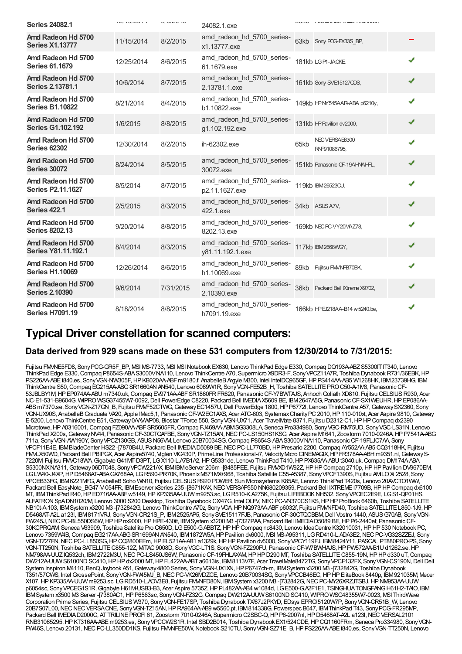| <b>Series 24082.1</b>                            | L11V1LV1T  | <b>UI UI AU IU</b> | 24082.1.exe                                    |      | <b>INTO A LANE IN LANE IN THE OWN.</b> |   |
|--------------------------------------------------|------------|--------------------|------------------------------------------------|------|----------------------------------------|---|
| Amd Radeon Hd 5700<br><b>Series X1.13777</b>     | 11/15/2014 | 8/2/2015           | amd radeon hd 5700 series-<br>x1.13777.exe     |      | 63kb Sony POG-FX33S_BP,                |   |
| Amd Radeon Hd 5700<br><b>Series 61.1679</b>      | 12/25/2014 | 8/6/2015           | amd_radeon_hd_5700_series-<br>61.1679.exe      |      | 181kb LGPI-JACKE                       | ✔ |
| Amd Radeon Hd 5700<br><b>Series 2.13781.1</b>    | 10/6/2014  | 8/7/2015           | amd_radeon_hd_5700_series-<br>2.13781.1.exe    |      | 161kb Sony SVE15127CDS,                | ✔ |
| Amd Radeon Hd 5700<br><b>Series B1.10822</b>     | 8/21/2014  | 8/4/2015           | amd radeon hd 5700 series-<br>b1.10822.exe     |      | 149kb HPNY545AAR-ABA p6210y,           | √ |
| Amd Radeon Hd 5700<br><b>Series G1.102.192</b>   | 1/6/2015   | 8/8/2015           | amd radeon hd 5700 series-<br>g1.102.192.exe   |      | 131kb HP Pavilion dv2000,              | ✔ |
| Amd Radeon Hd 5700<br><b>Series 62302</b>        | 12/30/2014 | 8/2/2015           | ih-62302.exe                                   | 65kb | NECVERSAE6300<br>RNF91086795.          | ✔ |
| Amd Radeon Hd 5700<br><b>Series 30072</b>        | 8/24/2014  | 8/5/2015           | amd radeon hd 5700 series-<br>30072.exe        |      | 151kb Panasonic CF-19AHNAHFL,          | ✔ |
| Amd Radeon Hd 5700<br><b>Series P2.11.1627</b>   | 8/5/2014   | 8/7/2015           | amd_radeon_hd_5700_series-<br>p2.11.1627.exe   |      | 119kb IBM26523CU.                      | ✔ |
| Amd Radeon Hd 5700<br><b>Series 422.1</b>        | 2/5/2015   | 8/3/2015           | amd_radeon_hd_5700_series-<br>422.1.exe        |      | 34kb ASUS A7V,                         | √ |
| Amd Radeon Hd 5700<br><b>Series 8202.13</b>      | 9/20/2014  | 8/8/2015           | amd radeon hd 5700 series-<br>8202.13.exe      |      | 169kb NEC PC-VY20MAZ78,                | √ |
| Amd Radeon Hd 5700<br><b>Series Y81.11.192.1</b> | 8/4/2014   | 8/3/2015           | amd_radeon_hd_5700_series-<br>y81.11.192.1.exe |      | 117kb IBM2668WGY,                      | ✔ |
| Amd Radeon Hd 5700<br><b>Series H1.10069</b>     | 12/26/2014 | 8/6/2015           | amd radeon hd 5700 series-<br>h1.10069.exe     | 89kb | Fujitsu FM/NFB70BK,                    | ✔ |
| Amd Radeon Hd 5700<br><b>Series 2.10390</b>      | 9/6/2014   | 7/31/2015          | amd_radeon_hd_5700_series-<br>2.10390.exe      |      | 36kb Packard Bell Ktreme X9702,        | ✔ |
| Amd Radeon Hd 5700<br><b>Series H7091.19</b>     | 8/18/2014  | 8/8/2015           | amd radeon hd 5700 series-<br>h7091.19.exe     |      | 166kb HPEJ218AA-B14 w 5240.be,         | ✔ |

## **Typical Driver constellation for scanned computers:**

#### **Data derived from 929 scans made on these 531 computers from 12/30/2014 to 7/31/2015:**

Fujitsu FMME5FD8, Sony PCG-GR5F\_BP, MSI MS-7733, MSI MSI Notebook EX630, Lenovo ThinkPad Edge E330, Compaq DQ193A-ABZ S5300IT IT340, Lenovo ThinkPad Edge E330,Compaq P8654S-ABAS3000VNA110, Lenovo ThinkCentre A70, Supermicro X9DR3-F, SonyVPCZ11A7R, Toshiba DynabookR731/36EBK,HP PS226AA-ABEt840.es, Sony VGN-NW305F, HP KB020AA-ABFm9180.f, AnabelleB Argyle M300, Intel IntelDQ965GF, HP PS414AA-AB5 W1268HK, IBM23739HG, IBM ThinkCentre S50, Compaq EG215AA-ABG SR1660AN AN540, Lenovo 6069W1R, Sony VGN-FE52B\_H, Toshiba SATELLITE PRO C50-A-1M3, Panasonic CF-53JBLBY1M,HPEP074AA-ABU m7340.uk,Compaq EV971AA-ABFSR1860FRFR620, PanasonicCF-Y7BWTAJS, AnhochGoliath XD810, Fujitsu CELSIUSR930, Acer NC-E1-531-B9604G, WIPRO WSG37455W7-0092, Dell PowerEdge C8220, Packard Bell IMEDIAX5609 BE, IBM2647A5G, Panasonic CF-SX1WEUHR, HP EP086AA-ABS m7370.se, Sony VGN-Z17GN\_B, Fujitsu FMVF52CTWG, Gateway EC1457U, Dell PowerEdge 1800, HP P6772l, Lenovo ThinkCentre A57, Gateway SX2360, Sony VGN-UX90S, AnabelleB Graduate VA20, Apple IMac5,1, Panasonic CF-W2EC1AXS, Acer ATC-603, Systemax Charity PC 2010, HP 110-010xt, Acer Aspire 9810, Gateway E-5200, Lenovo ThinkCentre E51, Gateway 0AAWVP08, Biostar TForce 550, Sony VGN-UX71, Acer TravelMate 8371, Fujitsu D2312-C1, HP HP Compaq dx2390 Microtowe,HPA0316001,Compaq FZ090AA-ABFSR5605FR,Compaq FJ469AA-ABMSG3308LA, Seneca Pro334980, SonyVGC-RM75UD, SonyVGC-LS31N, Lenovo ThinkPad X200s, Gateway NV44, Panasonic CF-30CTQAFBE, Sony VGN-TZ15AN, NEC PC-LS150HS1KSG, Acer Aspire M1641, Zoostorm 7010-0246A, HP P7541A-ABG 711a, SonyVGN-AW190Y, SonyVPCZ130GB, ASUSN56VM, Lenovo 20B70034SG,Compaq P8654S-ABAS3000VNA110, PanasonicCF-19FLJC7AA, Sony VPCF11E4E, IBMBladeCenter HS22 -[7870B4U, Packard Bell IMEDIAD5089 BE,NECPC-LL770BD,HPPresario 2200,Compaq AY552AA-AB5 CQ3118HK, Fujitsu FMLX50WD, Packard Bell PBIPGX, Acer Aspire5740, Viglen VIG430P, PrimeLine Professional-i7, Velocity Mcro CINEMAGIX, HP FR378AA-ABH m9351.nl, Gateway S-7220M, Fujitsu FMVC18WA,GigabyteG41MT-D3PT, LGX110-L.A7B1A2,HPG5331de, Lenovo ThinkPad T410,HPPX635AA-ABUt3040.uk,Compaq DM174A-ABA S5300NXNA311,Gateway06DT048, SonyVPCW221AX, IBMIBMeServer 206m -[8485PEE, Fujitsu FMVXD1W92Z,HPHPCompaq 2710p,HPHPPavilion DV9670EM, LGLW40-J4XP, HPD5468AT-ABAGX768AA, LGR590-PR70K, PhoenixM671MX+968, Toshiba Satellite C55-A5387, Sony VPCF1390S, Fujitsu AMILOXi 2528, Sony VPCEB33FG, IBM6221MFG, AnabelleBSoho WN10, Fujitsu CELSIUSR920 POWER, Sun Microsystems K85AE, Lenovo ThinkPad T420s, Lenovo 20AVCTO1WW, Packard Bell EasyNote\_BG47-V-054FR, IBMEserver xSeries 235-[8671KAX, NEC VERSAP550 NN680209359, Packard Bell IXTREME I7709B, HP HP Compaq dx6100 MT, IBMThinkPad R40,HPED716AA-ABFw5149,HPKP335AA-UUWm9253.sc, LGR510-K.A275K, Fujitsu LIFEBOOKNH532, SonyVPCEC2E9E, LGS1-QP01HS, ALFATRON SpADN1020/M, Lenovo 3000 S200 Desktop, Toshiba Dynabook CX/47G, Intel OLFV, NEC PC-VN370CS1KS, HP HP ProBook 6460b, Toshiba SATELLITE NB10t-A-103, IBMSystem x3200 M3 -[732842G, Lenovo ThinkCentre A70z, Sony VOA, HP NQ973AA-ABF p6032f, Fujitsu FMMFD40, Toshiba SATELLITE L850-1J9, HP D5468AT-A2L a123l, IBM8171VRJ, SonyVGN-CR21S\_P, IBM2525AP5, SonySVE15117FJB, PanasonicCF-30CTQCBBM,Dell Vostro 1440, ASUSG70AB, SonyVGN-FW245J,NECPC-BL550DS6W,HPHPnx9000,HPHPE-430it, IBMSystem x3200 M3 -[7327PAA, Packard Bell IMEDIAD5089 BE,HPP6-2440ef, PanasonicCF-30KCPRQAM, Seneca V63909, Toshiba Satellite Pro C650D, LGE500-G.ABBTZ,HPHPCompaq nc8430, Lenovo IdeaCentre K32010031,HPHP530 Notebook PC, Lenovo 7359W4B, Compaq EG217AA-ABG SR1699AN AN540, IBM1872W5A, HP Pavilion dv6000, MSI MS-A95311, LGRD410-L.ADA3E2, NEC PC-VG32SZZEJ, Sony VGN-TZ27FN,NECPC-LL850SG,HPCQ2800EEm,HPEL521AA-AB1 a1329k,HPHPPavilion dv5000, SonyVPCY119FJ, IBM8424Y11, PASCAL PT880PRO-PS, Sony VGN-TT250N, Toshiba SATELLITE C855-12Z, MTAC 9008D, Sony VGC-LT1S, Sony VGN-FZ290FU, Panasonic CF-W7BWHAJS, HP PW572AA-B1U d1262.se, HP NM798AA-UUZIQ532ch, IBM2722M3U,NECPC-LS450JS6W, PanasonicCF-19FHLAXAM,HPHPD290 MT, Toshiba SATELLITEC855-19N,HPHPd330 uT,Compaq DW212A-UUWS6100NDSC410,HPHPdx2000 MT,HPFL422AA-ABTa6613is, IBM8113V7F, Acer TravelMate8472TG, SonyVPCF132FX, SonyVGN-CS190N,Dell Dell System Inspiron M4110, BenQ Joybook A51, Gateway 4800 Series, Sony VGN-UX1XN, HP P6747ch-m, IBM System x3200 M3 -[732842G, Toshiba Dynabook T351/57CWS, Intel GrossePoint, SonyVGN-FW45MJ\_B,NECPC-VK26MDZCE, Lenovo 20B70034SG, SonyVPCCB46EC,HPHPEliteBook 8440p, IBM921035M, Mecer X107,HPKP335AA-UUWm9253.sc, LGRD510-L.ADV3E8, Fujitsu FMVNFD80N, IBMSystem x3200 M3 -[732842G,NECPC-MY26XRZJTSBJ,HPNM953AA-UUW p6054sc, SonyVPCEG1S1R,Gigabyte H61M-USB3-B3, Acer Aspire 5735Z,HPPL482AA-AB4 w1084d, LGE500-G.A2F1E1, TSINGHUATONGFANGH61H2-TAIO, IBM IBMSystem x3500 M3 Server -[7380AC1,HPP6563sc, SonyVGN-FZ32G,Compaq DW212A-UUWS6100NDSC410, WIPROWSG48355W7-0023, MSI ThirdWave Corporation Prime Series, Fujitsu CELSIUS W370, SonyVGN-FE17SP, Toshiba Dynabook TX/67J2PKYD, EDsys EPROI5120W7P, SonyVGN-CR51B\_W, Lenovo 20B7S07L00,NECNECVERSAONE, SonyVGN-TZ15AN,HPRA964AA-AB9 w5560.pt, IBM814338G, Powerspec B647, IBMThinkPad T43, SonyPCG-FR295MP, Packard Bell IMEDIAD2000C, ATTRILINE PROFI 61, Zoostorm 7010-0246A, Supermicro C2SBC-Q, HP P6-2007nl, HP D5468AT-A2L a123l, NEC VERSAL2101 RNB31065295,HPKT316AA-ABEm9253.es, SonyVPCCW2S1R, Intel SBD2B014, Toshiba Dynabook EX1/524CDE,HPCQ1160FRm, Seneca Pro334980, SonyVGN-FW46S, Lenovo 20131, NEC PC-LL350DD1KS, Fujitsu FMMFE50W, Notebook S210TU, Sony VGN-SZ71E\_B, HP PS226AA-ABEt840.es, Sony VGN-TT250N, Lenovo